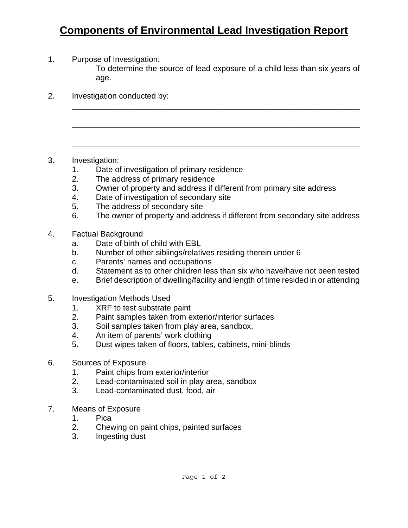## **Components of Environmental Lead Investigation Report**

1. Purpose of Investigation:

To determine the source of lead exposure of a child less than six years of age.

 $\overline{\phantom{a}}$  , and the contribution of the contribution of the contribution of the contribution of the contribution of the contribution of the contribution of the contribution of the contribution of the contribution of the

\_\_\_\_\_\_\_\_\_\_\_\_\_\_\_\_\_\_\_\_\_\_\_\_\_\_\_\_\_\_\_\_\_\_\_\_\_\_\_\_\_\_\_\_\_\_\_\_\_\_\_\_\_\_\_\_\_\_\_\_\_\_\_\_\_

\_\_\_\_\_\_\_\_\_\_\_\_\_\_\_\_\_\_\_\_\_\_\_\_\_\_\_\_\_\_\_\_\_\_\_\_\_\_\_\_\_\_\_\_\_\_\_\_\_\_\_\_\_\_\_\_\_\_\_\_\_\_\_\_\_

2. Investigation conducted by:

- 3. Investigation:
	- 1. Date of investigation of primary residence
	- 2. The address of primary residence
	- 3. Owner of property and address if different from primary site address
	- 4. Date of investigation of secondary site
	- 5. The address of secondary site
	- 6. The owner of property and address if different from secondary site address
- 4. Factual Background
	- a. Date of birth of child with EBL
	- b. Number of other siblings/relatives residing therein under 6
	- c. Parents' names and occupations
	- d. Statement as to other children less than six who have/have not been tested
	- e. Brief description of dwelling/facility and length of time resided in or attending
- 5. Investigation Methods Used
	- 1. XRF to test substrate paint
	- 2. Paint samples taken from exterior/interior surfaces
	- 3. Soil samples taken from play area, sandbox,
	- 4. An item of parents' work clothing
	- 5. Dust wipes taken of floors, tables, cabinets, mini-blinds
- 6. Sources of Exposure
	- 1. Paint chips from exterior/interior
	- 2. Lead-contaminated soil in play area, sandbox
	- 3. Lead-contaminated dust, food, air
- 7. Means of Exposure
	- 1. Pica
	- 2. Chewing on paint chips, painted surfaces
	- 3. Ingesting dust